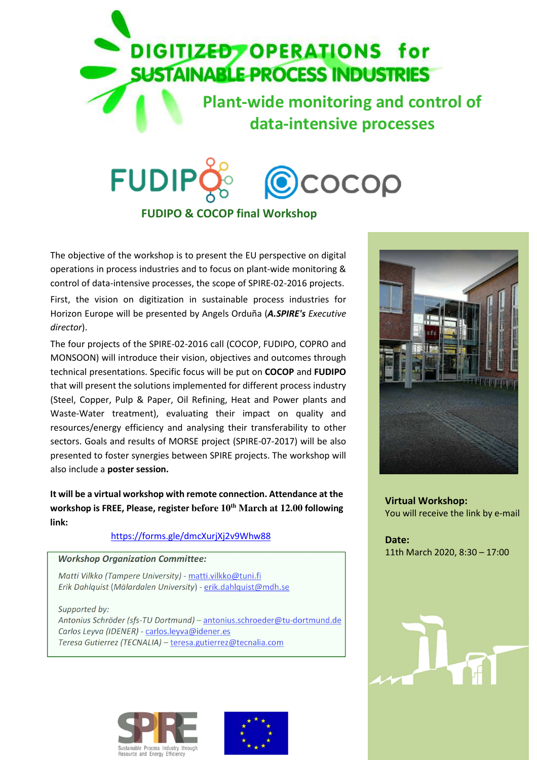

## **FUDIP** COCOP **FUDIPO & COCOP final Workshop**

The objective of the workshop is to present the EU perspective on digital operations in process industries and to focus on plant-wide monitoring & control of data-intensive processes, the scope of SPIRE-02-2016 projects. First, the vision on digitization in sustainable process industries for Horizon Europe will be presented by Angels Orduña (*A.SPIRE's Executive* 

The four projects of the SPIRE-02-2016 call (COCOP, FUDIPO, COPRO and MONSOON) will introduce their vision, objectives and outcomes through technical presentations. Specific focus will be put on **COCOP** and **FUDIPO**  that will present the solutions implemented for different process industry (Steel, Copper, Pulp & Paper, Oil Refining, Heat and Power plants and Waste-Water treatment), evaluating their impact on quality and resources/energy efficiency and analysing their transferability to other sectors. Goals and results of MORSE project (SPIRE-07-2017) will be also presented to foster synergies between SPIRE projects. The workshop will also include a **poster session.**

**It will be a virtual workshop with remote connection. Attendance at the workshop is FREE, Please, register before 10th March at 12.00 following link:** 

## https://forms.gle/dmcXurjXj2v9Whw88

## *Workshop Organization Committee:*

*director*).

*Matti Vilkko (Tampere University)* - matti.vilkko@tuni.fi *Erik Dahlquist* (*Mälardalen University*) - erik.dahlquist@mdh.se

*Supported by: Antonius Schröder (sfs-TU Dortmund)* – antonius.schroeder@tu-dortmund.de *Carlos Leyva (IDENER)* - carlos.leyva@idener.es *Teresa Gutierrez (TECNALIA)* – teresa.gutierrez@tecnalia.com







**Virtual Workshop:**  You will receive the link by e-mail

**Date:**  11th March 2020, 8:30 – 17:00